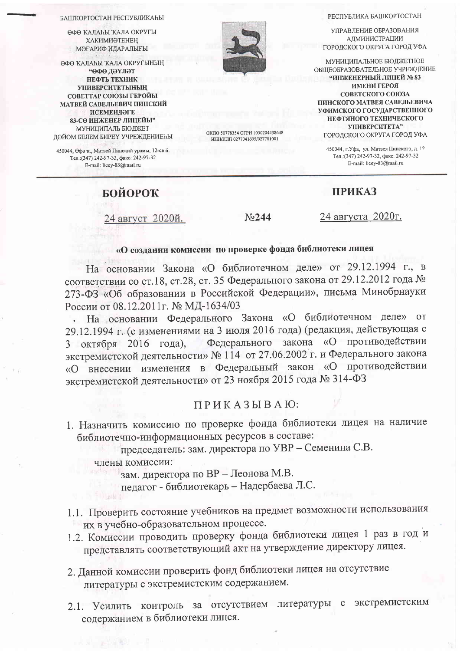РЕСПУБЛИКА БАШКОРТОСТАН

УПРАВЛЕНИЕ ОБРАЗОВАНИЯ АДМИНИСТРАЦИИ ГОРОДСКОГО ОКРУГА ГОРОД УФА

МУНИЦИПАЛЬНОЕ БЮДЖЕТНОЕ ОБШЕОБРАЗОВАТЕЛЬНОЕ УЧРЕЖДЕНИЕ "ИНЖЕНЕРНЫЙ ЛИЦЕЙ № 83 ИМЕНИ ГЕРОЯ СОВЕТСКОГО СОЮЗА ПИНСКОГО МАТВЕЯ САВЕЛЬЕВИЧА УФИМСКОГО ГОСУДАРСТВЕННОГО НЕФТЯНОГО ТЕХНИЧЕСКОГО УНИВЕРСИТЕТА" ГОРОДСКОГО ОКРУГА ГОРОД УФА

450044, г. Уфа, ул. Матвея Пинского, д. 12 Тел.: (347) 242-97-32, факс: 242-97-32 E-mail: licey-83@mail.ru

### **ПРИКАЗ**

**БОЙОРОК** 

24 август 2020й.

No244

24 августа 2020г.

# «О создании комиссии по проверке фонда библиотеки лицея

На основании Закона «О библиотечном деле» от 29.12.1994 г., в соответствии со ст.18, ст.28, ст. 35 Федерального закона от 29.12.2012 года № 273-ФЗ «Об образовании в Российской Федерации», письма Минобрнауки России от 08.12.2011 г. № МД-1634/03

На основании Федерального Закона «О библиотечном деле» **OT**  $\overline{\phantom{a}}$ 29.12.1994 г. (с изменениями на 3 июля 2016 года) (редакция, действующая с Федерального закона «О противодействии 3 октября 2016 года), экстремистской деятельности» № 114 от 27.06.2002 г. и Федерального закона «О внесении изменения в Федеральный закон «О противодействии экстремистской деятельности» от 23 ноября 2015 года № 314-ФЗ

# $\Pi$  P  $\overline{K}$  A 3  $\overline{h}$  B A  $\overline{h}$ :

1. Назначить комиссию по проверке фонда библиотеки лицея на наличие библиотечно-информационных ресурсов в составе:

председатель: зам. директора по УВР - Семенина С.В.

члены комиссии:

зам. директора по ВР - Леонова М.В.

педагог - библиотекарь - Надербаева Л.С.

- 1.1. Проверить состояние учебников на предмет возможности использования их в учебно-образовательном процессе.
- 1.2. Комиссии проводить проверку фонда библиотеки лицея 1 раз в год и представлять соответствующий акт на утверждение директору лицея.
- 2. Данной комиссии проверить фонд библиотеки лицея на отсутствие литературы с экстремистским содержанием.
- 2.1. Усилить контроль за отсутствием литературы с экстремистским содержанием в библиотеки лицея.



OKIIO 50778354 OFPH 1030204438648 ИНН/КПП 0277041695/027701001

#### БАШКОРТОСТАН РЕСПУБЛИКАЊИ

ӨФӨ КАЛАЫЫ КАЛА ОКРУГЫ **ХАКИМИӘТЕНЕН** МӘҒАРИФ ИЛАРАЛЫҒЫ

ӨФӨ КАЛАҺЫ КАЛА ОКРУГЫНЫҢ "ӨФӨ ДӘҮЛӘТ НЕФТЬ ТЕХНИК **УНИВЕРСИТЕТЫНЫҢ** СОВЕТТАР СОЮЗЫ ГЕРОЙЫ МАТВЕЙ САВЕЛЬЕВИЧ ПИНСКИЙ **ИСЕМЕНДӘГЕ** 83-СӨ ИНЖЕНЕР ЛИЦЕЙЫ" МУНИЦИПАЛЬ БЮДЖЕТ ДӨЙӨМ БЕЛЕМ БИРЕҮ УЧРЕЖДЕНИЕҺЫ

450044, Өфө к., Матвей Пинский урамы, 12-се й. Тел.: (347) 242-97-32, факс: 242-97-32 E-mail: licey-83@mail.ru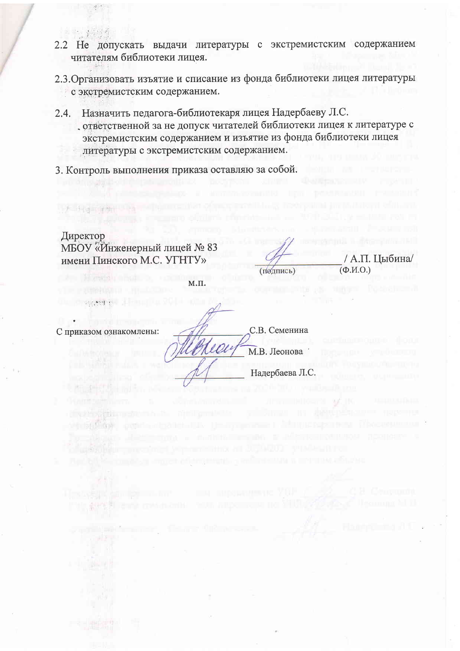- 
- 2.2 Не допускать выдачи литературы с экстремистским содержанием читателям библиотеки лицея.
- 2.3. Организовать изъятие и списание из фонда библиотеки лицея литературы с экстремистским содержанием.
- 2.4. Назначить педагога-библиотекаря лицея Надербаеву Л.С. ответственной за не допуск читателей библиотеки лицея к литературе с экстремистским содержанием и изъятие из фонда библиотеки лицея литературы с экстремистским содержанием.
- 3. Контроль выполнения приказа оставляю за собой.

Директор МБОУ «Инженерный лицей № 83 имени Пинского М.С. УГНТУ»

/ А.П. Цыбина/  $(\Phi$ <sub>M</sub>.O.)

 $M.\Pi.$ 

rea

С приказом ознакомлены:

 $\{x\in\mathbb{R}^d\}$  ,  $\epsilon$ 

С.В. Семенина М.В. Леонова

(подпись)

Надербаева Л.С.